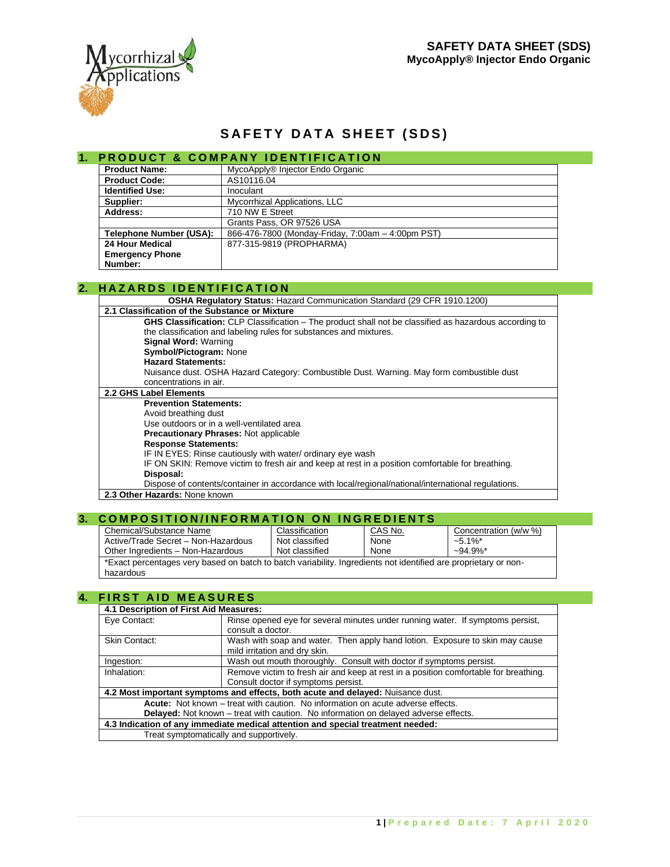

# **SAFETY DATA SHEET (SDS)**

| 1.                      | <b>PRODUCT &amp; COMPANY IDENTIFICATION</b>       |  |
|-------------------------|---------------------------------------------------|--|
| <b>Product Name:</b>    | MycoApply® Injector Endo Organic                  |  |
| <b>Product Code:</b>    | AS10116.04                                        |  |
| <b>Identified Use:</b>  | Inoculant                                         |  |
| Supplier:               | Mycorrhizal Applications, LLC                     |  |
| Address:                | 710 NW E Street                                   |  |
|                         | Grants Pass, OR 97526 USA                         |  |
| Telephone Number (USA): | 866-476-7800 (Monday-Friday, 7:00am - 4:00pm PST) |  |
| <b>24 Hour Medical</b>  | 877-315-9819 (PROPHARMA)                          |  |
| <b>Emergency Phone</b>  |                                                   |  |
| Number:                 |                                                   |  |

# **2. HAZARDS IDENTIFICATION**

| <b>OSHA Requiatory Status: Hazard Communication Standard (29 CFR 1910.1200)</b>                               |
|---------------------------------------------------------------------------------------------------------------|
| 2.1 Classification of the Substance or Mixture                                                                |
| <b>GHS Classification:</b> CLP Classification – The product shall not be classified as hazardous according to |
| the classification and labeling rules for substances and mixtures.                                            |
| <b>Signal Word: Warning</b>                                                                                   |
| Symbol/Pictogram: None                                                                                        |
| <b>Hazard Statements:</b>                                                                                     |
| Nuisance dust. OSHA Hazard Category: Combustible Dust. Warning. May form combustible dust                     |
| concentrations in air.                                                                                        |
| 2.2 GHS Label Elements                                                                                        |
| <b>Prevention Statements:</b>                                                                                 |
| Avoid breathing dust                                                                                          |
| Use outdoors or in a well-ventilated area                                                                     |
| <b>Precautionary Phrases: Not applicable</b>                                                                  |
| <b>Response Statements:</b>                                                                                   |
| IF IN EYES: Rinse cautiously with water/ ordinary eye wash                                                    |
| IF ON SKIN: Remove victim to fresh air and keep at rest in a position comfortable for breathing.              |
| Disposal:                                                                                                     |
| Dispose of contents/container in accordance with local/regional/national/international regulations.           |
| 2.3 Other Hazards: None known                                                                                 |

# **3. COMPOSITION/INFORMATION ON INGREDIENTS**

| Chemical/Substance Name                                                                                         | Classification | CAS No. | Concentration (w/w %) |  |
|-----------------------------------------------------------------------------------------------------------------|----------------|---------|-----------------------|--|
| Active/Trade Secret - Non-Hazardous                                                                             | Not classified | None    | $-5.1\%$ *            |  |
| Other Ingredients - Non-Hazardous                                                                               | Not classified | None    | $-94.9\%$ *           |  |
| *Exact percentages very based on batch to batch variability. Ingredients not identified are proprietary or non- |                |         |                       |  |
| hazardous                                                                                                       |                |         |                       |  |

# **4. FIRST AID MEASURES**

| 4.1 Description of First Aid Measures:                                                     |                                                                                      |  |
|--------------------------------------------------------------------------------------------|--------------------------------------------------------------------------------------|--|
| Eye Contact:                                                                               | Rinse opened eye for several minutes under running water. If symptoms persist,       |  |
|                                                                                            | consult a doctor.                                                                    |  |
| Skin Contact:                                                                              | Wash with soap and water. Then apply hand lotion. Exposure to skin may cause         |  |
|                                                                                            | mild irritation and dry skin.                                                        |  |
| Ingestion:                                                                                 | Wash out mouth thoroughly. Consult with doctor if symptoms persist.                  |  |
| Inhalation:                                                                                | Remove victim to fresh air and keep at rest in a position comfortable for breathing. |  |
|                                                                                            | Consult doctor if symptoms persist.                                                  |  |
| 4.2 Most important symptoms and effects, both acute and delayed: Nuisance dust.            |                                                                                      |  |
| Acute: Not known - treat with caution. No information on acute adverse effects.            |                                                                                      |  |
| <b>Delayed:</b> Not known – treat with caution. No information on delayed adverse effects. |                                                                                      |  |
| 4.3 Indication of any immediate medical attention and special treatment needed:            |                                                                                      |  |
| Treat symptomatically and supportively.                                                    |                                                                                      |  |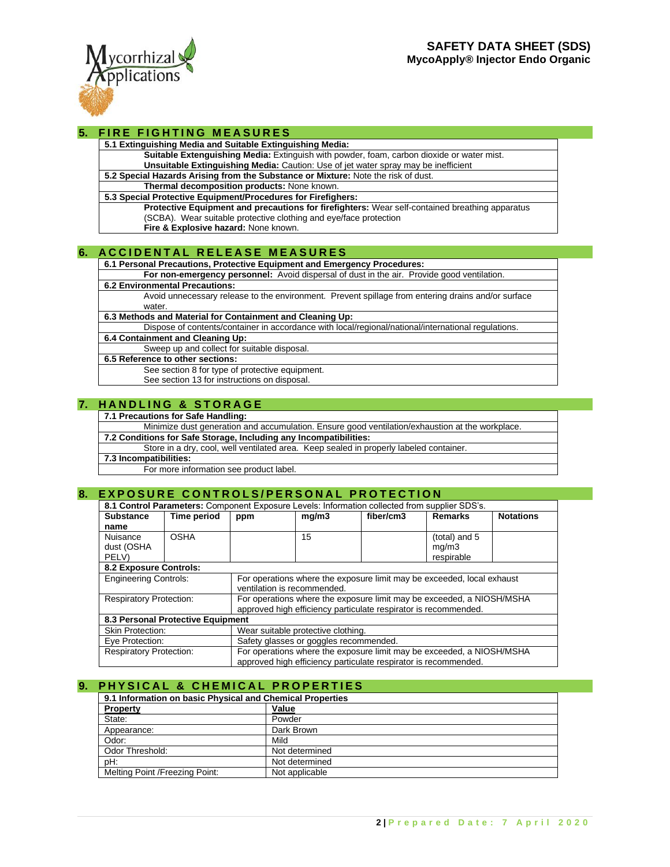

#### **5. FIRE FIGHTING MEASURES**

**5.1 Extinguishing Media and Suitable Extinguishing Media:**

**Suitable Extenguishing Media:** Extinguish with powder, foam, carbon dioxide or water mist. **Unsuitable Extinguishing Media:** Caution: Use of jet water spray may be inefficient

**5.2 Special Hazards Arising from the Substance or Mixture:** Note the risk of dust.

**Thermal decomposition products:** None known.

**5.3 Special Protective Equipment/Procedures for Firefighers:**

**Protective Equipment and precautions for firefighters:** Wear self-contained breathing apparatus (SCBA). Wear suitable protective clothing and eye/face protection **Fire & Explosive hazard:** None known.

## **6. ACCIDENTAL RELEASE MEASURES**

**6.1 Personal Precautions, Protective Equipment and Emergency Procedures:** For non-emergency personnel: Avoid dispersal of dust in the air. Provide good ventilation

**6.2 Environmental Precautions:** 

Avoid unnecessary release to the environment. Prevent spillage from entering drains and/or surface water.

**6.3 Methods and Material for Containment and Cleaning Up:**

Dispose of contents/container in accordance with local/regional/national/international regulations.

**6.4 Containment and Cleaning Up:**

Sweep up and collect for suitable disposal.

**6.5 Reference to other sections:**

See section 8 for type of protective equipment.

See section 13 for instructions on disposal.

# **7. H A N D L I N G & S T O R A G E**

**7.1 Precautions for Safe Handling:**

Minimize dust generation and accumulation. Ensure good ventilation/exhaustion at the workplace.

**7.2 Conditions for Safe Storage, Including any Incompatibilities:** 

Store in a dry, cool, well ventilated area. Keep sealed in properly labeled container.

**7.3 Incompatibilities:**

For more information see product label.

## **8. EXPOSURE CONTROLS/PERSONAL PROTECTION**

| 8.1 Control Parameters: Component Exposure Levels: Information collected from supplier SDS's. |             |                                                                                                                                          |       |           |                     |                  |
|-----------------------------------------------------------------------------------------------|-------------|------------------------------------------------------------------------------------------------------------------------------------------|-------|-----------|---------------------|------------------|
| <b>Substance</b>                                                                              | Time period | ppm                                                                                                                                      | mq/m3 | fiber/cm3 | <b>Remarks</b>      | <b>Notations</b> |
| name                                                                                          |             |                                                                                                                                          |       |           |                     |                  |
| Nuisance                                                                                      | <b>OSHA</b> |                                                                                                                                          | 15    |           | (total) and 5       |                  |
| dust (OSHA<br>PELV)                                                                           |             |                                                                                                                                          |       |           | mq/m3<br>respirable |                  |
| <b>8.2 Exposure Controls:</b>                                                                 |             |                                                                                                                                          |       |           |                     |                  |
| <b>Engineering Controls:</b>                                                                  |             | For operations where the exposure limit may be exceeded, local exhaust<br>ventilation is recommended.                                    |       |           |                     |                  |
| <b>Respiratory Protection:</b>                                                                |             | For operations where the exposure limit may be exceeded, a NIOSH/MSHA<br>approved high efficiency particulate respirator is recommended. |       |           |                     |                  |
| 8.3 Personal Protective Equipment                                                             |             |                                                                                                                                          |       |           |                     |                  |
| <b>Skin Protection:</b>                                                                       |             | Wear suitable protective clothing.                                                                                                       |       |           |                     |                  |
| Eye Protection:                                                                               |             | Safety glasses or goggles recommended.                                                                                                   |       |           |                     |                  |
| <b>Respiratory Protection:</b>                                                                |             | For operations where the exposure limit may be exceeded, a NIOSH/MSHA<br>approved high efficiency particulate respirator is recommended. |       |           |                     |                  |

## **9. PHYSICAL & CHEMICAL PROPERTIES**

| 9.1 Information on basic Physical and Chemical Properties |                |
|-----------------------------------------------------------|----------------|
| <b>Property</b>                                           | Value          |
| State:                                                    | Powder         |
| Appearance:                                               | Dark Brown     |
| Odor:                                                     | Mild           |
| Odor Threshold:                                           | Not determined |
| pH:                                                       | Not determined |
| Melting Point / Freezing Point:                           | Not applicable |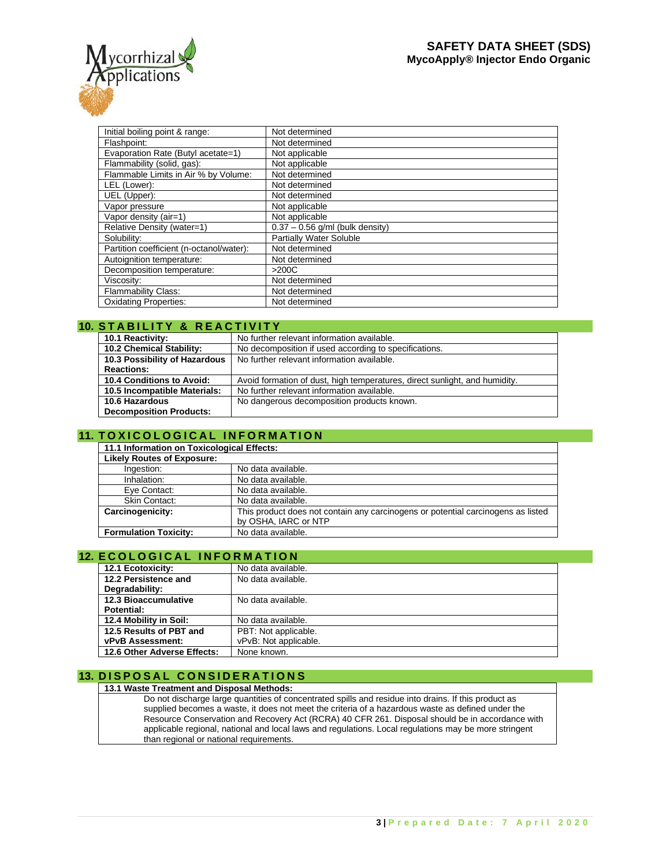



| Initial boiling point & range:           | Not determined                    |
|------------------------------------------|-----------------------------------|
| Flashpoint:                              | Not determined                    |
| Evaporation Rate (Butyl acetate=1)       | Not applicable                    |
| Flammability (solid, gas):               | Not applicable                    |
| Flammable Limits in Air % by Volume:     | Not determined                    |
| LEL (Lower):                             | Not determined                    |
| UEL (Upper):                             | Not determined                    |
| Vapor pressure                           | Not applicable                    |
| Vapor density (air=1)                    | Not applicable                    |
| Relative Density (water=1)               | $0.37 - 0.56$ g/ml (bulk density) |
| Solubility:                              | <b>Partially Water Soluble</b>    |
| Partition coefficient (n-octanol/water): | Not determined                    |
| Autoignition temperature:                | Not determined                    |
| Decomposition temperature:               | >200C                             |
| Viscosity:                               | Not determined                    |
| <b>Flammability Class:</b>               | Not determined                    |
| <b>Oxidating Properties:</b>             | Not determined                    |

| <b>10. STABILITY &amp; REACTIVITY</b> |                                                                            |  |
|---------------------------------------|----------------------------------------------------------------------------|--|
| 10.1 Reactivity:                      | No further relevant information available.                                 |  |
| 10.2 Chemical Stability:              | No decomposition if used according to specifications.                      |  |
| 10.3 Possibility of Hazardous         | No further relevant information available.                                 |  |
| <b>Reactions:</b>                     |                                                                            |  |
| 10.4 Conditions to Avoid:             | Avoid formation of dust, high temperatures, direct sunlight, and humidity. |  |
| 10.5 Incompatible Materials:          | No further relevant information available.                                 |  |
| 10.6 Hazardous                        | No dangerous decomposition products known.                                 |  |
| <b>Decomposition Products:</b>        |                                                                            |  |

# **11. TOXICOLOGICAL INFORMATION**

| 11.1 Information on Toxicological Effects: |                                                                                                          |  |
|--------------------------------------------|----------------------------------------------------------------------------------------------------------|--|
| <b>Likely Routes of Exposure:</b>          |                                                                                                          |  |
| Ingestion:                                 | No data available.                                                                                       |  |
| Inhalation:                                | No data available.                                                                                       |  |
| Eve Contact:                               | No data available.                                                                                       |  |
| Skin Contact:                              | No data available.                                                                                       |  |
| Carcinogenicity:                           | This product does not contain any carcinogens or potential carcinogens as listed<br>by OSHA, IARC or NTP |  |
| <b>Formulation Toxicity:</b>               | No data available.                                                                                       |  |

#### **12. ECOLOGICAL INFORMATION**

| <b>12.1 Ecotoxicity:</b>    | No data available.    |
|-----------------------------|-----------------------|
| 12.2 Persistence and        | No data available.    |
| Degradability:              |                       |
| 12.3 Bioaccumulative        | No data available.    |
| Potential:                  |                       |
| 12.4 Mobility in Soil:      | No data available.    |
| 12.5 Results of PBT and     | PBT: Not applicable.  |
| <b>vPvB Assessment:</b>     | vPvB: Not applicable. |
| 12.6 Other Adverse Effects: | None known.           |

# **13. DISPOSAL CONSIDERATIONS**

#### **13.1 Waste Treatment and Disposal Methods:**

Do not discharge large quantities of concentrated spills and residue into drains. If this product as supplied becomes a waste, it does not meet the criteria of a hazardous waste as defined under the Resource Conservation and Recovery Act (RCRA) 40 CFR 261. Disposal should be in accordance with applicable regional, national and local laws and regulations. Local regulations may be more stringent than regional or national requirements.